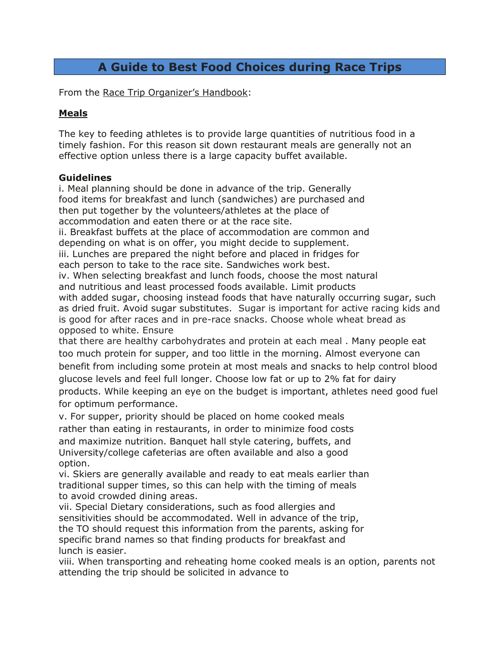### **A Guide to Best Food Choices during Race Trips**

From the Race Trip Organizer's Handbook:

### **Meals**

The key to feeding athletes is to provide large quantities of nutritious food in a timely fashion. For this reason sit down restaurant meals are generally not an effective option unless there is a large capacity buffet available.

#### **Guidelines**

i. Meal planning should be done in advance of the trip. Generally food items for breakfast and lunch (sandwiches) are purchased and then put together by the volunteers/athletes at the place of accommodation and eaten there or at the race site.

ii. Breakfast buffets at the place of accommodation are common and depending on what is on offer, you might decide to supplement. iii. Lunches are prepared the night before and placed in fridges for each person to take to the race site. Sandwiches work best.

iv. When selecting breakfast and lunch foods, choose the most natural and nutritious and least processed foods available. Limit products with added sugar, choosing instead foods that have naturally occurring sugar, such as dried fruit. Avoid sugar substitutes. Sugar is important for active racing kids and is good for after races and in pre-race snacks. Choose whole wheat bread as opposed to white. Ensure

that there are healthy carbohydrates and protein at each meal . Many people eat too much protein for supper, and too little in the morning. Almost everyone can benefit from including some protein at most meals and snacks to help control blood glucose levels and feel full longer. Choose low fat or up to 2% fat for dairy products. While keeping an eye on the budget is important, athletes need good fuel for optimum performance.

v. For supper, priority should be placed on home cooked meals rather than eating in restaurants, in order to minimize food costs and maximize nutrition. Banquet hall style catering, buffets, and University/college cafeterias are often available and also a good option.

vi. Skiers are generally available and ready to eat meals earlier than traditional supper times, so this can help with the timing of meals to avoid crowded dining areas.

vii. Special Dietary considerations, such as food allergies and sensitivities should be accommodated. Well in advance of the trip, the TO should request this information from the parents, asking for specific brand names so that finding products for breakfast and lunch is easier.

viii. When transporting and reheating home cooked meals is an option, parents not attending the trip should be solicited in advance to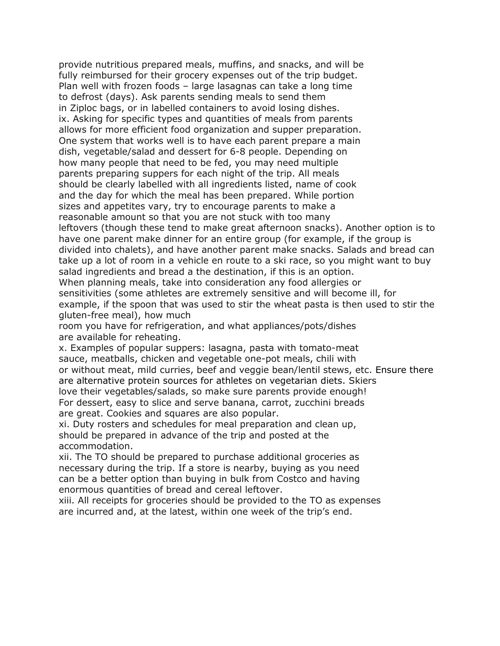provide nutritious prepared meals, muffins, and snacks, and will be fully reimbursed for their grocery expenses out of the trip budget. Plan well with frozen foods – large lasagnas can take a long time to defrost (days). Ask parents sending meals to send them in Ziploc bags, or in labelled containers to avoid losing dishes. ix. Asking for specific types and quantities of meals from parents allows for more efficient food organization and supper preparation. One system that works well is to have each parent prepare a main dish, vegetable/salad and dessert for 6-8 people. Depending on how many people that need to be fed, you may need multiple parents preparing suppers for each night of the trip. All meals should be clearly labelled with all ingredients listed, name of cook and the day for which the meal has been prepared. While portion sizes and appetites vary, try to encourage parents to make a reasonable amount so that you are not stuck with too many leftovers (though these tend to make great afternoon snacks). Another option is to have one parent make dinner for an entire group (for example, if the group is divided into chalets), and have another parent make snacks. Salads and bread can take up a lot of room in a vehicle en route to a ski race, so you might want to buy salad ingredients and bread a the destination, if this is an option. When planning meals, take into consideration any food allergies or sensitivities (some athletes are extremely sensitive and will become ill, for example, if the spoon that was used to stir the wheat pasta is then used to stir the gluten-free meal), how much

room you have for refrigeration, and what appliances/pots/dishes are available for reheating.

x. Examples of popular suppers: lasagna, pasta with tomato-meat sauce, meatballs, chicken and vegetable one-pot meals, chili with or without meat, mild curries, beef and veggie bean/lentil stews, etc. Ensure there are alternative protein sources for athletes on vegetarian diets. Skiers love their vegetables/salads, so make sure parents provide enough! For dessert, easy to slice and serve banana, carrot, zucchini breads are great. Cookies and squares are also popular.

xi. Duty rosters and schedules for meal preparation and clean up, should be prepared in advance of the trip and posted at the accommodation.

xii. The TO should be prepared to purchase additional groceries as necessary during the trip. If a store is nearby, buying as you need can be a better option than buying in bulk from Costco and having enormous quantities of bread and cereal leftover.

xiii. All receipts for groceries should be provided to the TO as expenses are incurred and, at the latest, within one week of the trip's end.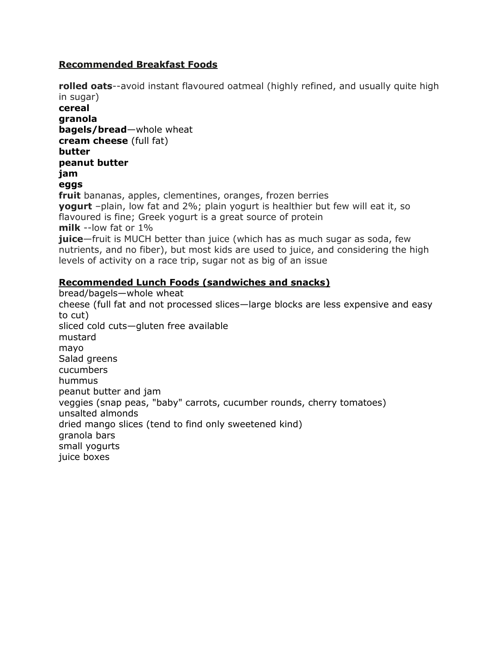### **Recommended Breakfast Foods**

**rolled oats**--avoid instant flavoured oatmeal (highly refined, and usually quite high in sugar) **cereal granola bagels/bread**—whole wheat **cream cheese** (full fat) **butter peanut butter jam eggs fruit** bananas, apples, clementines, oranges, frozen berries **yogurt** –plain, low fat and 2%; plain yogurt is healthier but few will eat it, so flavoured is fine; Greek yogurt is a great source of protein **milk** --low fat or 1% **juice**—fruit is MUCH better than juice (which has as much sugar as soda, few nutrients, and no fiber), but most kids are used to juice, and considering the high levels of activity on a race trip, sugar not as big of an issue

### **Recommended Lunch Foods (sandwiches and snacks)**

bread/bagels—whole wheat cheese (full fat and not processed slices—large blocks are less expensive and easy to cut) sliced cold cuts—gluten free available mustard mayo Salad greens cucumbers hummus peanut butter and jam veggies (snap peas, "baby" carrots, cucumber rounds, cherry tomatoes) unsalted almonds dried mango slices (tend to find only sweetened kind) granola bars small yogurts juice boxes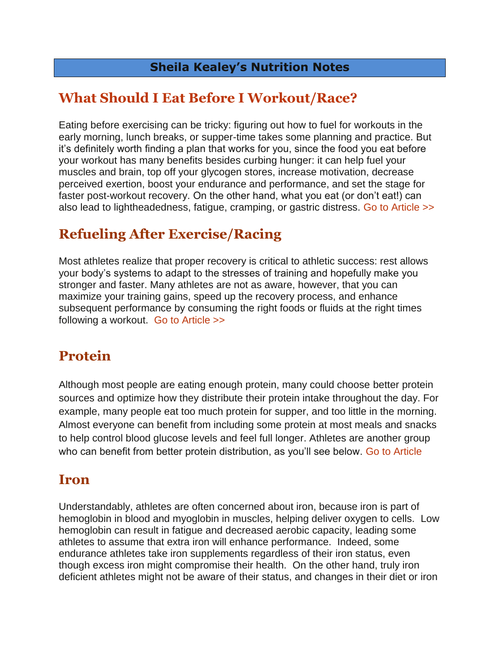### **Sheila Kealey's Nutrition Notes**

# **[What Should I Eat Before I Workout/Race?](http://www.sheilakealey.com/2014/04/15/eat-workout/)**

Eating before exercising can be tricky: figuring out how to fuel for workouts in the early morning, lunch breaks, or supper-time takes some planning and practice. But it's definitely worth finding a plan that works for you, since the food you eat before your workout has many benefits besides curbing hunger: it can help fuel your muscles and brain, top off your glycogen stores, increase motivation, decrease perceived exertion, boost your endurance and performance, and set the stage for faster post-workout recovery. On the other hand, what you eat (or don't eat!) can also lead to lightheadedness, fatigue, cramping, or gastric distress. [Go to Article >>](http://www.sheilakealey.com/2014/04/15/eat-workout/)

# **Refueling After Exercise/Racing**

Most athletes realize that proper recovery is critical to athletic success: rest allows your body's systems to adapt to the stresses of training and hopefully make you stronger and faster. Many athletes are not as aware, however, that you can maximize your training gains, speed up the recovery process, and enhance subsequent performance by consuming the right foods or fluids at the right times following a workout. [Go to Article >>](http://www.sheilakealey.com/2014/02/27/refueling-for-recovery/)

# **Protein**

Although most people are eating enough protein, many could choose better protein sources and optimize how they distribute their protein intake throughout the day. For example, many people eat too much protein for supper, and too little in the morning. Almost everyone can benefit from including some protein at most meals and snacks to help control blood glucose levels and feel full longer. Athletes are another group who can benefit from better protein distribution, as you'll see below. [Go to Article](http://www.sheilakealey.com/2014/05/05/how-much-protein/)

## **Iron**

Understandably, athletes are often concerned about iron, because iron is part of hemoglobin in blood and myoglobin in muscles, helping deliver oxygen to cells. Low hemoglobin can result in fatigue and decreased aerobic capacity, leading some athletes to assume that extra iron will enhance performance. Indeed, some endurance athletes take iron supplements regardless of their iron status, even though excess iron might compromise their health. On the other hand, truly iron deficient athletes might not be aware of their status, and changes in their diet or iron